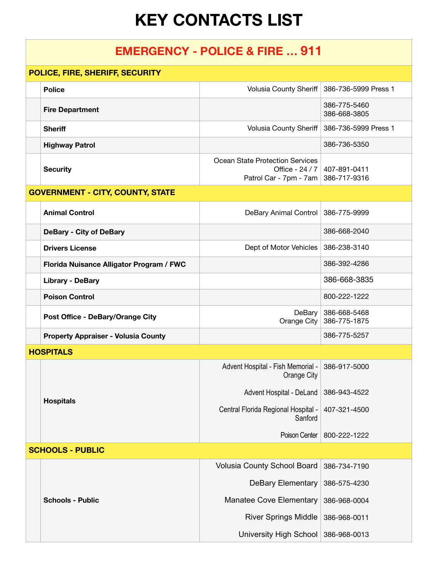## **KEY CONTACTS LIST**

## **EMERGENCY - POLICE & FIRE … 911**

| POLICE, FIRE, SHERIFF, SECURITY |                                            |                                                                                     |                              |  |
|---------------------------------|--------------------------------------------|-------------------------------------------------------------------------------------|------------------------------|--|
|                                 | <b>Police</b>                              | Volusia County Sheriff                                                              | 386-736-5999 Press 1         |  |
|                                 | <b>Fire Department</b>                     |                                                                                     | 386-775-5460<br>386-668-3805 |  |
|                                 | <b>Sheriff</b>                             | <b>Volusia County Sheriff</b>                                                       | 386-736-5999 Press 1         |  |
|                                 | <b>Highway Patrol</b>                      |                                                                                     | 386-736-5350                 |  |
|                                 | <b>Security</b>                            | <b>Ocean State Protection Services</b><br>Office - 24 / 7<br>Patrol Car - 7pm - 7am | 407-891-0411<br>386-717-9316 |  |
|                                 | <b>GOVERNMENT - CITY, COUNTY, STATE</b>    |                                                                                     |                              |  |
|                                 | <b>Animal Control</b>                      | DeBary Animal Control                                                               | 386-775-9999                 |  |
|                                 | <b>DeBary - City of DeBary</b>             |                                                                                     | 386-668-2040                 |  |
|                                 | <b>Drivers License</b>                     | Dept of Motor Vehicles                                                              | 386-238-3140                 |  |
|                                 | Florida Nuisance Alligator Program / FWC   |                                                                                     | 386-392-4286                 |  |
|                                 | <b>Library - DeBary</b>                    |                                                                                     | 386-668-3835                 |  |
|                                 | <b>Poison Control</b>                      |                                                                                     | 800-222-1222                 |  |
|                                 | Post Office - DeBary/Orange City           | DeBary<br>Orange City                                                               | 386-668-5468<br>386-775-1875 |  |
|                                 | <b>Property Appraiser - Volusia County</b> |                                                                                     | 386-775-5257                 |  |
|                                 | <b>HOSPITALS</b>                           |                                                                                     |                              |  |
|                                 | <b>Hospitals</b>                           | Advent Hospital - Fish Memorial -<br>Orange City                                    | 386-917-5000                 |  |
|                                 |                                            | Advent Hospital - DeLand                                                            | 386-943-4522                 |  |
|                                 |                                            | Central Florida Regional Hospital -<br>Sanford                                      | 407-321-4500                 |  |
|                                 |                                            | Poison Center                                                                       | 800-222-1222                 |  |
| <b>SCHOOLS - PUBLIC</b>         |                                            |                                                                                     |                              |  |
|                                 |                                            | Volusia County School Board                                                         | 386-734-7190                 |  |
|                                 | <b>Schools - Public</b>                    | <b>DeBary Elementary</b>                                                            | 386-575-4230                 |  |
|                                 |                                            | <b>Manatee Cove Elementary</b>                                                      | 386-968-0004                 |  |
|                                 |                                            | <b>River Springs Middle</b>                                                         | 386-968-0011                 |  |
|                                 |                                            | University High School                                                              | 386-968-0013                 |  |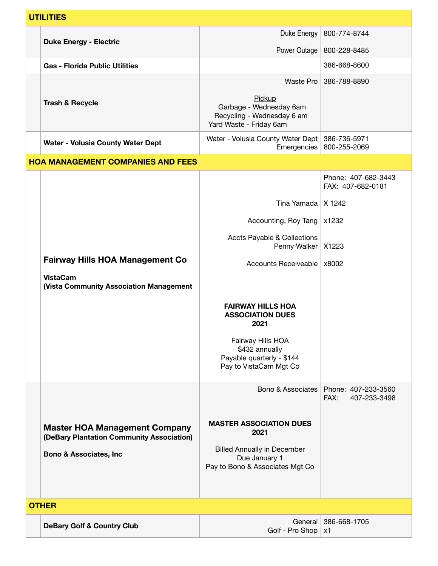| <b>UTILITIES</b> |                                                                                   |                                                                                            |                                             |
|------------------|-----------------------------------------------------------------------------------|--------------------------------------------------------------------------------------------|---------------------------------------------|
|                  |                                                                                   | Duke Energy                                                                                | 800-774-8744                                |
|                  | <b>Duke Energy - Electric</b>                                                     | Power Outage                                                                               | 800-228-8485                                |
|                  | <b>Gas - Florida Public Utilities</b>                                             |                                                                                            | 386-668-8600                                |
|                  |                                                                                   | Waste Pro                                                                                  | 386-788-8890                                |
|                  | <b>Trash &amp; Recycle</b>                                                        | Pickup<br>Garbage - Wednesday 6am<br>Recycling - Wednesday 6 am<br>Yard Waste - Friday 6am |                                             |
|                  | Water - Volusia County Water Dept                                                 | Water - Volusia County Water Dept   386-736-5971<br>Emergencies                            | 800-255-2069                                |
|                  | <b>HOA MANAGEMENT COMPANIES AND FEES</b>                                          |                                                                                            |                                             |
|                  |                                                                                   |                                                                                            | Phone: 407-682-3443<br>FAX: 407-682-0181    |
|                  |                                                                                   | Tina Yamada   X 1242                                                                       |                                             |
|                  |                                                                                   | Accounting, Roy Tang                                                                       | x1232                                       |
|                  |                                                                                   | Accts Payable & Collections<br>Penny Walker                                                | X1223                                       |
|                  | <b>Fairway Hills HOA Management Co</b>                                            | Accounts Receiveable                                                                       | x8002                                       |
|                  | <b>VistaCam</b><br>(Vista Community Association Management                        |                                                                                            |                                             |
|                  |                                                                                   | <b>FAIRWAY HILLS HOA</b><br><b>ASSOCIATION DUES</b><br>2021                                |                                             |
|                  |                                                                                   | Fairway Hills HOA<br>\$432 annually<br>Payable quarterly - \$144<br>Pay to VistaCam Mgt Co |                                             |
|                  |                                                                                   | Bono & Associates                                                                          | Phone: 407-233-3560<br>FAX:<br>407-233-3498 |
|                  | <b>Master HOA Management Company</b><br>(DeBary Plantation Community Association) | <b>MASTER ASSOCIATION DUES</b><br>2021                                                     |                                             |
|                  | <b>Bono &amp; Associates, Inc</b>                                                 | <b>Billed Annually in December</b><br>Due January 1<br>Pay to Bono & Associates Mgt Co     |                                             |
| <b>OTHER</b>     |                                                                                   |                                                                                            |                                             |
|                  | <b>DeBary Golf &amp; Country Club</b>                                             | General<br>Golf - Pro Shop                                                                 | 386-668-1705<br>x1                          |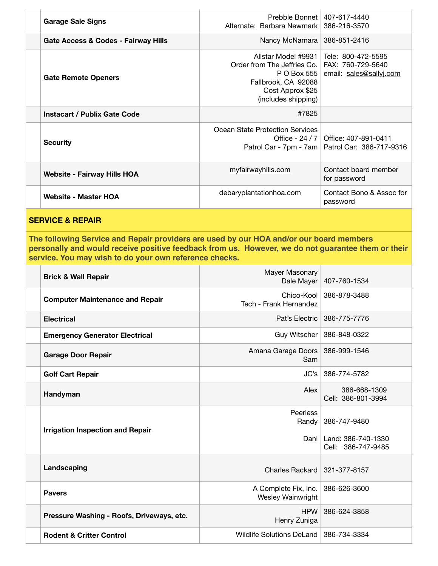| <b>Garage Sale Signs</b>            | Alternate: Barbara Newmark   386-216-3570                                                                                        | Prebble Bonnet   407-617-4440                                                               |
|-------------------------------------|----------------------------------------------------------------------------------------------------------------------------------|---------------------------------------------------------------------------------------------|
| Gate Access & Codes - Fairway Hills |                                                                                                                                  | Nancy McNamara   386-851-2416                                                               |
| <b>Gate Remote Openers</b>          | Order from The Jeffries Co.   FAX: 760-729-5640<br>P O Box 555<br>Fallbrook, CA 92088<br>Cost Approx \$25<br>(includes shipping) | Allstar Model #9931   Tele: 800-472-5595<br>email: sales@sallyj.com                         |
| Instacart / Publix Gate Code        | #7825                                                                                                                            |                                                                                             |
| <b>Security</b>                     | Ocean State Protection Services                                                                                                  | Office - 24 / 7   Office: 407-891-0411<br>Patrol Car - 7pm - 7am   Patrol Car: 386-717-9316 |
| <b>Website - Fairway Hills HOA</b>  | myfairwayhills.com                                                                                                               | Contact board member<br>for password                                                        |
| <b>Website - Master HOA</b>         | debaryplantationhoa.com                                                                                                          | Contact Bono & Assoc for<br>password                                                        |

## **SERVICE & REPAIR**

**The following Service and Repair providers are used by our HOA and/or our board members personally and would receive positive feedback from us. However, we do not guarantee them or their service. You may wish to do your own reference checks.**

| <b>Brick &amp; Wall Repair</b>            | Mayer Masonary<br>Dale Mayer              | 407-760-1534                                                    |
|-------------------------------------------|-------------------------------------------|-----------------------------------------------------------------|
| <b>Computer Maintenance and Repair</b>    | Chico-Kool<br>Tech - Frank Hernandez      | 386-878-3488                                                    |
| <b>Electrical</b>                         |                                           | Pat's Electric   386-775-7776                                   |
| <b>Emergency Generator Electrical</b>     |                                           | Guy Witscher   386-848-0322                                     |
| <b>Garage Door Repair</b>                 | Amana Garage Doors   386-999-1546<br>Sam  |                                                                 |
| <b>Golf Cart Repair</b>                   |                                           | $JC's   386-774-5782$                                           |
| Handyman                                  | Alex                                      | 386-668-1309<br>Cell: 386-801-3994                              |
| <b>Irrigation Inspection and Repair</b>   | Peerless<br>Randy                         | 386-747-9480<br>Dani   Land: 386-740-1330<br>Cell: 386-747-9485 |
| Landscaping                               | Charles Rackard                           | 321-377-8157                                                    |
| <b>Pavers</b>                             | A Complete Fix, Inc.<br>Wesley Wainwright | 386-626-3600                                                    |
| Pressure Washing - Roofs, Driveways, etc. | <b>HPW</b><br>Henry Zuniga                | 386-624-3858                                                    |
| <b>Rodent &amp; Critter Control</b>       | Wildlife Solutions DeLand 386-734-3334    |                                                                 |